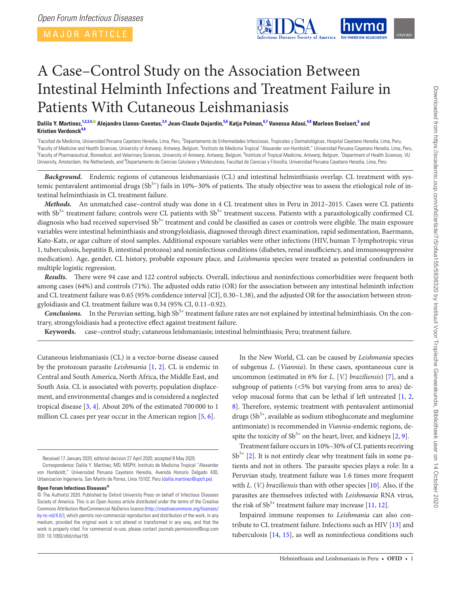MAJOR ARTICLE

<span id="page-0-6"></span>

# A Case–Control Study on the Association Between Intestinal Helminth Infections and Treatment Failure in Patients With Cutaneous Leishmaniasis

Dalila Y. Martínez,<sup>[1,](#page-0-0)[2](#page-0-1)[,3,](#page-0-2)[4](#page-0-3),©</sup> Alejandro Llanos-Cuentas,<sup>2[,4](#page-0-3)</sup> Jean-Claude Dujardin,<sup>[5,](#page-0-4)[6](#page-0-5)</sup> Katja Polman,<sup>6[,7](#page-0-6)</sup> Vanessa Adaui,<sup>[4,](#page-0-3)[8](#page-0-7)</sup> Marleen Boelaert,<sup>6</sup> and **Kristien Verdonc[k4](#page-0-3),[6](#page-0-5)**

<span id="page-0-5"></span><span id="page-0-4"></span><span id="page-0-3"></span><span id="page-0-2"></span><span id="page-0-1"></span><span id="page-0-0"></span><sup>1</sup> Facultad de Medicina, Universidad Peruana Cayetano Heredia, Lima, Peru, <sup>2</sup>Departamento de Enfermedades Infecciosas, Tropicales y Dermatológicas, Hospital Cayetano Heredia, Lima, Peru,<br><sup>3</sup>Eaculty of Medicina and Health <sup>3</sup> Faculty of Medicine and Health Sciences, University of Antwerp, Antwerp, Belgium, <sup>4</sup>Instituto de Medicina Tropical "Alexander von Humboldt," Universidad Peruana Cayetano Heredia, Lima, Peru,<br><sup>5</sup>Foculty of Pharmacoutic Faculty of Pharmaceutical, Biomedical, and Veterinary Sciences, University of Antwerp, Antwerp, Belgium, <sup>6</sup>Institute of Tropical Medicine, Antwerp, Belgium, <sup>7</sup>Department of Health Sciences, VU University, Amsterdam, the Netherlands, and <sup>8</sup>Departamento de Ciencias Celulares y Moleculares, Facultad de Ciencias y Filosofía, Universidad Peruana Cayetano Heredia, Lima, Peru

<span id="page-0-7"></span>*Background.* Endemic regions of cutaneous leishmaniasis (CL) and intestinal helminthiasis overlap. CL treatment with systemic pentavalent antimonial drugs  $(Sb^{5+})$  fails in 10%–30% of patients. The study objective was to assess the etiological role of intestinal helminthiasis in CL treatment failure.

*Methods.* An unmatched case–control study was done in 4 CL treatment sites in Peru in 2012–2015. Cases were CL patients with  $Sb^{5+}$  treatment failure; controls were CL patients with  $Sb^{5+}$  treatment success. Patients with a parasitologically confirmed CL diagnosis who had received supervised Sb<sup>5+</sup> treatment and could be classified as cases or controls were eligible. The main exposure variables were intestinal helminthiasis and strongyloidiasis, diagnosed through direct examination, rapid sedimentation, Baermann, Kato-Katz, or agar culture of stool samples. Additional exposure variables were other infections (HIV, human T-lymphotropic virus 1, tuberculosis, hepatitis B, intestinal protozoa) and noninfectious conditions (diabetes, renal insufficiency, and immunosuppressive medication). Age, gender, CL history, probable exposure place, and *Leishmania* species were treated as potential confounders in multiple logistic regression.

*Results.* There were 94 case and 122 control subjects. Overall, infectious and noninfectious comorbidities were frequent both among cases (64%) and controls (71%). The adjusted odds ratio (OR) for the association between any intestinal helminth infection and CL treatment failure was 0.65 (95% confidence interval [CI], 0.30–1.38), and the adjusted OR for the association between strongyloidiasis and CL treatment failure was 0.34 (95% CI, 0.11–0.92).

*Conclusions.* In the Peruvian setting, high Sb<sup>5+</sup> treatment failure rates are not explained by intestinal helminthiasis. On the contrary, strongyloidiasis had a protective effect against treatment failure.

**Keywords.** case–control study; cutaneous leishmaniasis; intestinal helminthiasis; Peru; treatment failure.

Cutaneous leishmaniasis (CL) is a vector-borne disease caused by the protozoan parasite *Leishmania* [\[1,](#page-7-0) [2](#page-7-1)]. CL is endemic in Central and South America, North Africa, the Middle East, and South Asia. CL is associated with poverty, population displacement, and environmental changes and is considered a neglected tropical disease [\[3,](#page-7-2) [4\]](#page-7-3). About 20% of the estimated 700 000 to 1 million CL cases per year occur in the American region [[5](#page-7-4), [6\]](#page-7-5).

**Open Forum Infectious Diseases®**

In the New World, CL can be caused by *Leishmania* species of subgenus *L.* (*Viannia*). In these cases, spontaneous cure is uncommon (estimated in 6% for *L.* [*V.*] *braziliensis*) [\[7\]](#page-7-6), and a subgroup of patients (<5% but varying from area to area) develop mucosal forms that can be lethal if left untreated [\[1,](#page-7-0) [2,](#page-7-1) [8\]](#page-7-7). Therefore, systemic treatment with pentavalent antimonial drugs  $(Sb<sup>5+</sup>, available as sodium stibogluconate and meglumine)$ antimoniate) is recommended in *Viannia*-endemic regions, despite the toxicity of  $Sb^{5+}$  on the heart, liver, and kidneys [\[2,](#page-7-1) [9\]](#page-7-8).

Treatment failure occurs in 10%–30% of CL patients receiving  $Sb^{5+}$  [[2](#page-7-1)]. It is not entirely clear why treatment fails in some patients and not in others. The parasite species plays a role: In a Peruvian study, treatment failure was 1.6 times more frequent with *L.* (*V.*) *braziliensis* than with other species [\[10](#page-7-9)]. Also, if the parasites are themselves infected with *Leishmania* RNA virus, the risk of  $Sb^{5+}$  treatment failure may increase [[11,](#page-7-10) [12](#page-7-11)].

Impaired immune responses to *Leishmania* can also contribute to CL treatment failure. Infections such as HIV [\[13](#page-7-12)] and tuberculosis [\[14](#page-7-13), [15\]](#page-7-14), as well as noninfectious conditions such

Received 17 January 2020; editorial decision 27 April 2020; accepted 8 May 2020.

Correspondence: Dalila Y. Martínez, MD, MSPH, Instituto de Medicina Tropical "Alexander von Humboldt," Universidad Peruana Cayetano Heredia, Avenida Honorio Delgado 430, Urbanizacion Ingenieria, San Martín de Porres, Lima 15102, Peru [\(dalila.martinez@upch.pe\)](mailto:dalila.martinez@upch.pe?subject=).

<sup>©</sup> The Author(s) 2020. Published by Oxford University Press on behalf of Infectious Diseases Society of America. This is an Open Access article distributed under the terms of the Creative Commons Attribution-NonCommercial-NoDerivs licence [\(http://creativecommons.org/licenses/](http://creativecommons.org/licenses/by-nc-nd/4.0/) [by-nc-nd/4.0/](http://creativecommons.org/licenses/by-nc-nd/4.0/)), which permits non-commercial reproduction and distribution of the work, in any medium, provided the original work is not altered or transformed in any way, and that the work is properly cited. For commercial re-use, please contact journals.permissions@oup.com DOI: 10.1093/ofid/ofaa155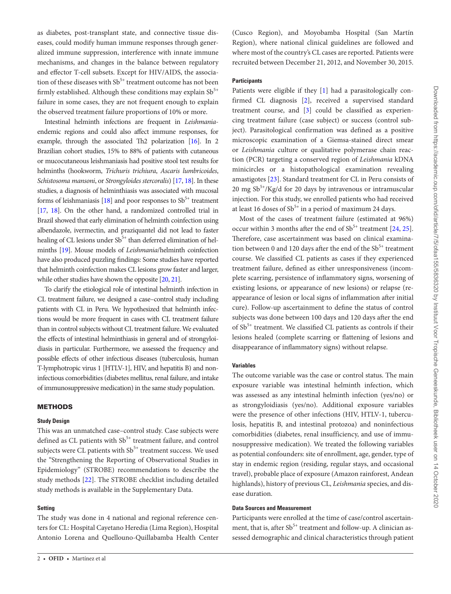as diabetes, post-transplant state, and connective tissue diseases, could modify human immune responses through generalized immune suppression, interference with innate immune mechanisms, and changes in the balance between regulatory and effector T-cell subsets. Except for HIV/AIDS, the association of these diseases with  $Sb^{5+}$  treatment outcome has not been firmly established. Although these conditions may explain  $Sb^{5+}$ failure in some cases, they are not frequent enough to explain the observed treatment failure proportions of 10% or more.

Intestinal helminth infections are frequent in *Leishmania*endemic regions and could also affect immune responses, for example, through the associated Th<sub>2</sub> polarization [\[16](#page-7-15)]. In 2 Brazilian cohort studies, 15% to 88% of patients with cutaneous or mucocutaneous leishmaniasis had positive stool test results for helminths (hookworm, *Trichuris trichiura*, *Ascaris lumbricoides*, *Schistosoma mansoni*, or *Strongyloides stercoralis*) [[17](#page-7-16), [18](#page-7-17)]. In these studies, a diagnosis of helminthiasis was associated with mucosal forms of leishmaniasis  $[18]$  $[18]$  and poor responses to  $Sb^{5+}$  treatment [\[17,](#page-7-16) [18\]](#page-7-17). On the other hand, a randomized controlled trial in Brazil showed that early elimination of helminth coinfection using albendazole, ivermectin, and praziquantel did not lead to faster healing of CL lesions under Sb<sup>5+</sup> than deferred elimination of helminths [\[19\]](#page-7-18). Mouse models of *Leishmania*/helminth coinfection have also produced puzzling findings: Some studies have reported that helminth coinfection makes CL lesions grow faster and larger, while other studies have shown the opposite [\[20,](#page-7-19) [21](#page-7-20)].

To clarify the etiological role of intestinal helminth infection in CL treatment failure, we designed a case–control study including patients with CL in Peru. We hypothesized that helminth infections would be more frequent in cases with CL treatment failure than in control subjects without CL treatment failure. We evaluated the effects of intestinal helminthiasis in general and of strongyloidiasis in particular. Furthermore, we assessed the frequency and possible effects of other infectious diseases (tuberculosis, human T-lymphotropic virus 1 [HTLV-1], HIV, and hepatitis B) and noninfectious comorbidities (diabetes mellitus, renal failure, and intake of immunosuppressive medication) in the same study population.

# METHODS

## **Study Design**

This was an unmatched case–control study. Case subjects were defined as CL patients with  $Sb^{5+}$  treatment failure, and control subjects were CL patients with  $Sb^{5+}$  treatment success. We used the "Strengthening the Reporting of Observational Studies in Epidemiology" (STROBE) recommendations to describe the study methods [[22\]](#page-7-21). The STROBE checklist including detailed study methods is available in the Supplementary Data.

## **Setting**

The study was done in 4 national and regional reference centers for CL: Hospital Cayetano Heredia (Lima Region), Hospital Antonio Lorena and Quellouno-Quillabamba Health Center (Cusco Region), and Moyobamba Hospital (San Martín Region), where national clinical guidelines are followed and where most of the country's CL cases are reported. Patients were recruited between December 21, 2012, and November 30, 2015.

# **Participants**

Patients were eligible if they [[1](#page-7-0)] had a parasitologically confirmed CL diagnosis [[2](#page-7-1)], received a supervised standard treatment course, and [[3](#page-7-2)] could be classified as experiencing treatment failure (case subject) or success (control subject). Parasitological confirmation was defined as a positive microscopic examination of a Giemsa-stained direct smear or *Leishmania* culture or qualitative polymerase chain reaction (PCR) targeting a conserved region of *Leishmania* kDNA minicircles or a histopathological examination revealing amastigotes [[23](#page-7-22)]. Standard treatment for CL in Peru consists of 20 mg  $Sb^{5+}/Kg/d$  for 20 days by intravenous or intramuscular injection. For this study, we enrolled patients who had received at least 16 doses of  $Sb^{5+}$  in a period of maximum 24 days.

Most of the cases of treatment failure (estimated at 96%) occur within 3 months after the end of  $Sb^{5+}$  treatment [[24,](#page-7-23) [25](#page-7-24)]. Therefore, case ascertainment was based on clinical examination between 0 and 120 days after the end of the  $Sb<sup>5+</sup>$  treatment course. We classified CL patients as cases if they experienced treatment failure, defined as either unresponsiveness (incomplete scarring, persistence of inflammatory signs, worsening of existing lesions, or appearance of new lesions) or relapse (reappearance of lesion or local signs of inflammation after initial cure). Follow-up ascertainment to define the status of control subjects was done between 100 days and 120 days after the end of Sb<sup>5+</sup> treatment. We classified CL patients as controls if their lesions healed (complete scarring or flattening of lesions and disappearance of inflammatory signs) without relapse.

# **Variables**

The outcome variable was the case or control status. The main exposure variable was intestinal helminth infection, which was assessed as any intestinal helminth infection (yes/no) or as strongyloidiasis (yes/no). Additional exposure variables were the presence of other infections (HIV, HTLV-1, tuberculosis, hepatitis B, and intestinal protozoa) and noninfectious comorbidities (diabetes, renal insufficiency, and use of immunosuppressive medication). We treated the following variables as potential confounders: site of enrollment, age, gender, type of stay in endemic region (residing, regular stays, and occasional travel), probable place of exposure (Amazon rainforest, Andean highlands), history of previous CL, *Leishmania* species, and disease duration.

# **Data Sources and Measurement**

Participants were enrolled at the time of case/control ascertainment, that is, after  $Sb^{5+}$  treatment and follow-up. A clinician assessed demographic and clinical characteristics through patient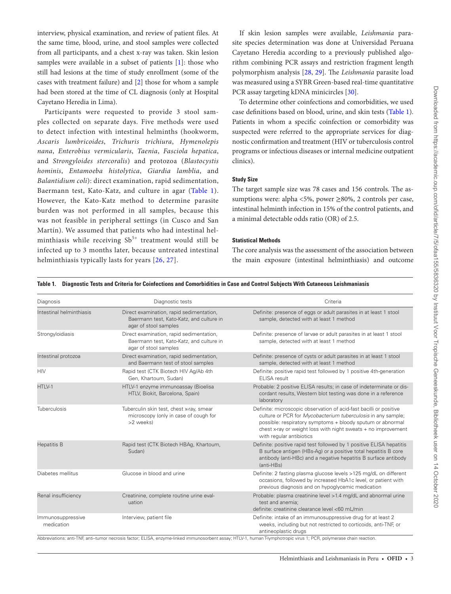interview, physical examination, and review of patient files. At the same time, blood, urine, and stool samples were collected from all participants, and a chest x-ray was taken. Skin lesion samples were available in a subset of patients [\[1\]](#page-7-0): those who still had lesions at the time of study enrollment (some of the cases with treatment failure) and [[2](#page-7-1)] those for whom a sample had been stored at the time of CL diagnosis (only at Hospital Cayetano Heredia in Lima).

Participants were requested to provide 3 stool samples collected on separate days. Five methods were used to detect infection with intestinal helminths (hookworm, *Ascaris lumbricoides*, *Trichuris trichiura*, *Hymenolepis nana*, *Enterobius vermicularis*, *Taenia*, *Fasciola hepatica*, and *Strongyloides stercoralis*) and protozoa (*Blastocystis hominis*, *Entamoeba histolytica*, *Giardia lamblia*, and *Balantidium coli*): direct examination, rapid sedimentation, Baermann test, Kato-Katz, and culture in agar (Table 1). However, the Kato-Katz method to determine parasite burden was not performed in all samples, because this was not feasible in peripheral settings (in Cusco and San Martín). We assumed that patients who had intestinal helminthiasis while receiving  $Sb^{5+}$  treatment would still be infected up to 3 months later, because untreated intestinal helminthiasis typically lasts for years [[26](#page-7-25), [27](#page-7-26)].

If skin lesion samples were available, *Leishmania* parasite species determination was done at Universidad Peruana Cayetano Heredia according to a previously published algorithm combining PCR assays and restriction fragment length polymorphism analysis [\[28](#page-7-27), [29](#page-7-28)]. The *Leishmania* parasite load was measured using a SYBR Green-based real-time quantitative PCR assay targeting kDNA minicircles [[30\]](#page-7-29).

To determine other coinfections and comorbidities, we used case definitions based on blood, urine, and skin tests [\(Table 1](#page-2-0)). Patients in whom a specific coinfection or comorbidity was suspected were referred to the appropriate services for diagnostic confirmation and treatment (HIV or tuberculosis control programs or infectious diseases or internal medicine outpatient clinics).

# **Study Size**

The target sample size was 78 cases and 156 controls. The assumptions were: alpha <5%, power ≥80%, 2 controls per case, intestinal helminth infection in 15% of the control patients, and a minimal detectable odds ratio (OR) of 2.5.

# **Statistical Methods**

The core analysis was the assessment of the association between the main exposure (intestinal helminthiasis) and outcome

| Diagnosis                       | Diagnostic tests                                                                                              | Criteria                                                                                                                                                                                                                                                                                                                        |
|---------------------------------|---------------------------------------------------------------------------------------------------------------|---------------------------------------------------------------------------------------------------------------------------------------------------------------------------------------------------------------------------------------------------------------------------------------------------------------------------------|
| Intestinal helminthiasis        | Direct examination, rapid sedimentation,<br>Baermann test, Kato-Katz, and culture in<br>agar of stool samples | Definite: presence of eggs or adult parasites in at least 1 stool<br>sample, detected with at least 1 method                                                                                                                                                                                                                    |
| Strongyloidiasis                | Direct examination, rapid sedimentation,<br>Baermann test, Kato-Katz, and culture in<br>agar of stool samples | Definite: presence of larvae or adult parasites in at least 1 stool<br>sample, detected with at least 1 method                                                                                                                                                                                                                  |
| Intestinal protozoa             | Direct examination, rapid sedimentation,<br>and Baermann test of stool samples                                | Definite: presence of cysts or adult parasites in at least 1 stool<br>sample, detected with at least 1 method                                                                                                                                                                                                                   |
| <b>HIV</b>                      | Rapid test (CTK Biotech HIV Ag/Ab 4th<br>Gen, Khartoum, Sudan)                                                | Definite: positive rapid test followed by 1 positive 4th-generation<br><b>ELISA</b> result                                                                                                                                                                                                                                      |
| HTLV-1                          | HTLV-1 enzyme immunoassay (Bioelisa<br>HTLV, Biokit, Barcelona, Spain)                                        | Probable: 2 positive ELISA results; in case of indeterminate or dis-<br>cordant results, Western blot testing was done in a reference<br>laboratory                                                                                                                                                                             |
| Tuberculosis                    | Tuberculin skin test, chest x-ray, smear<br>microscopy (only in case of cough for<br>>2 weeks)                | Definite: microscopic observation of acid-fast bacilli or positive<br>culture or PCR for Mycobacterium tuberculosis in any sample;<br>possible: respiratory symptoms + bloody sputum or abnormal<br>chest x-ray or weight loss with night sweats + no improvement<br>with regular antibiotics                                   |
| <b>Hepatitis B</b>              | Rapid test (CTK Biotech HBAg, Khartoum,<br>Sudan)                                                             | Definite: positive rapid test followed by 1 positive ELISA hepatitis<br>B surface antigen (HBs-Ag) or a positive total hepatitis B core<br>antibody (anti-HBc) and a negative hepatitis B surface antibody<br>(anti-HBs)                                                                                                        |
| Diabetes mellitus               | Glucose in blood and urine                                                                                    | Definite: 2 fasting plasma glucose levels >125 mg/dL on different<br>occasions, followed by increased HbA1c level, or patient with<br>previous diagnosis and on hypoglycemic medication                                                                                                                                         |
| Renal insufficiency             | Creatinine, complete routine urine eval-<br>uation                                                            | Probable: plasma creatinine level > 1.4 mg/dL and abnormal urine<br>test and anemia:<br>definite: creatinine clearance level <60 mL/min                                                                                                                                                                                         |
| Immunosuppressive<br>medication | Interview, patient file                                                                                       | Definite: intake of an immunosuppressive drug for at least 2<br>weeks, including but not restricted to corticoids, anti-TNF, or<br>antineoplastic drugs<br>Abbreviations: anti-TNF, anti-tumor necrosis factor; ELISA, enzyme-linked immunosorbent assay; HTLV-1, human T-lymphotropic virus 1; PCR, polymerase chain reaction. |

<span id="page-2-0"></span>**Table 1. Diagnostic Tests and Criteria for Coinfections and Comorbidities in Case and Control Subjects With Cutaneous Leishmaniasis**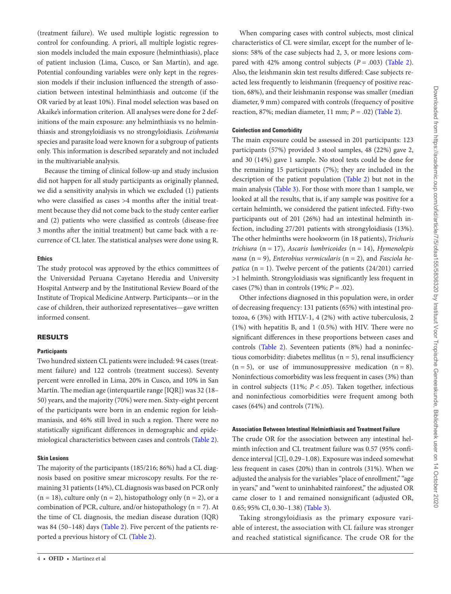(treatment failure). We used multiple logistic regression to control for confounding. A priori, all multiple logistic regression models included the main exposure (helminthiasis), place of patient inclusion (Lima, Cusco, or San Martín), and age. Potential confounding variables were only kept in the regression models if their inclusion influenced the strength of association between intestinal helminthiasis and outcome (if the OR varied by at least 10%). Final model selection was based on Akaike's information criterion. All analyses were done for 2 definitions of the main exposure: any helminthiasis vs no helminthiasis and strongyloidiasis vs no strongyloidiasis. *Leishmania* species and parasite load were known for a subgroup of patients only. This information is described separately and not included in the multivariable analysis.

Because the timing of clinical follow-up and study inclusion did not happen for all study participants as originally planned, we did a sensitivity analysis in which we excluded (1) patients who were classified as cases >4 months after the initial treatment because they did not come back to the study center earlier and (2) patients who were classified as controls (disease-free 3 months after the initial treatment) but came back with a recurrence of CL later. The statistical analyses were done using R.

# **Ethics**

The study protocol was approved by the ethics committees of the Universidad Peruana Cayetano Heredia and University Hospital Antwerp and by the Institutional Review Board of the Institute of Tropical Medicine Antwerp. Participants—or in the case of children, their authorized representatives—gave written informed consent.

# RESULTS

# **Participants**

Two hundred sixteen CL patients were included: 94 cases (treatment failure) and 122 controls (treatment success). Seventy percent were enrolled in Lima, 20% in Cusco, and 10% in San Martín. The median age (interquartile range [IQR]) was 32 (18– 50) years, and the majority (70%) were men. Sixty-eight percent of the participants were born in an endemic region for leishmaniasis, and 46% still lived in such a region. There were no statistically significant differences in demographic and epidemiological characteristics between cases and controls ([Table 2\)](#page-4-0).

# **Skin Lesions**

The majority of the participants (185/216; 86%) had a CL diagnosis based on positive smear microscopy results. For the remaining 31 patients (14%), CL diagnosis was based on PCR only  $(n = 18)$ , culture only  $(n = 2)$ , histopathology only  $(n = 2)$ , or a combination of PCR, culture, and/or histopathology ( $n = 7$ ). At the time of CL diagnosis, the median disease duration (IQR) was 84 (50–148) days [\(Table 2\)](#page-4-0). Five percent of the patients reported a previous history of CL [\(Table 2](#page-4-0)).

When comparing cases with control subjects, most clinical characteristics of CL were similar, except for the number of lesions: 58% of the case subjects had 2, 3, or more lesions compared with 42% among control subjects  $(P = .003)$  (Table 2). Also, the leishmanin skin test results differed: Case subjects reacted less frequently to leishmanin (frequency of positive reaction, 68%), and their leishmanin response was smaller (median diameter, 9 mm) compared with controls (frequency of positive reaction, 87%; median diameter, 11 mm; *P* = .02) [\(Table 2](#page-4-0)).

# **Coinfection and Comorbidity**

The main exposure could be assessed in 201 participants: 123 participants (57%) provided 3 stool samples, 48 (22%) gave 2, and 30 (14%) gave 1 sample. No stool tests could be done for the remaining 15 participants (7%); they are included in the description of the patient population ([Table 2\)](#page-4-0) but not in the main analysis [\(Table 3](#page-5-0)). For those with more than 1 sample, we looked at all the results, that is, if any sample was positive for a certain helminth, we considered the patient infected. Fifty-two participants out of 201 (26%) had an intestinal helminth infection, including 27/201 patients with strongyloidiasis (13%). The other helminths were hookworm (in 18 patients), *Trichuris trichiura* (n = 17), *Ascaris lumbricoides* (n = 14), *Hymenolepis nana* (n = 9), *Enterobius vermicularis* (n = 2), and *Fasciola hepatica* ( $n = 1$ ). Twelve percent of the patients (24/201) carried >1 helminth. Strongyloidiasis was significantly less frequent in cases (7%) than in controls (19%; *P* = .02).

Other infections diagnosed in this population were, in order of decreasing frequency: 131 patients (65%) with intestinal protozoa, 6 (3%) with HTLV-1, 4 (2%) with active tuberculosis, 2 (1%) with hepatitis B, and 1 (0.5%) with HIV. There were no significant differences in these proportions between cases and controls [\(Table 2](#page-4-0)). Seventeen patients (8%) had a noninfectious comorbidity: diabetes mellitus ( $n = 5$ ), renal insufficiency  $(n = 5)$ , or use of immunosuppressive medication  $(n = 8)$ . Noninfectious comorbidity was less frequent in cases (3%) than in control subjects (11%;  $P < .05$ ). Taken together, infectious and noninfectious comorbidities were frequent among both cases (64%) and controls (71%).

#### **Association Between Intestinal Helminthiasis and Treatment Failure**

The crude OR for the association between any intestinal helminth infection and CL treatment failure was 0.57 (95% confidence interval [CI], 0.29–1.08). Exposure was indeed somewhat less frequent in cases (20%) than in controls (31%). When we adjusted the analysis for the variables "place of enrollment," "age in years," and "went to uninhabited rainforest," the adjusted OR came closer to 1 and remained nonsignificant (adjusted OR, 0.65; 95% CI, 0.30–1.38) ([Table 3\)](#page-5-0).

Taking strongyloidiasis as the primary exposure variable of interest, the association with CL failure was stronger and reached statistical significance. The crude OR for the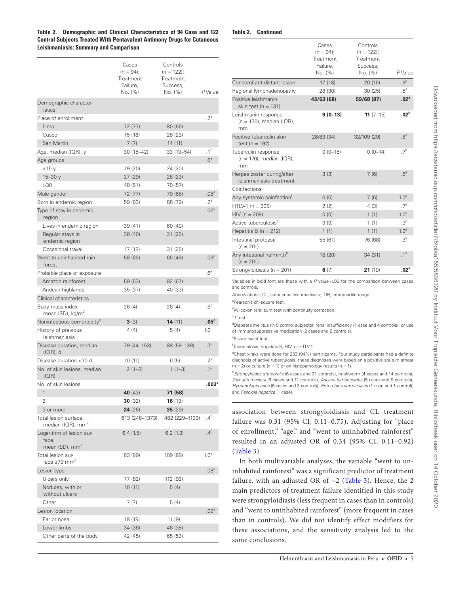<span id="page-4-0"></span>**Table 2. Demographic and Clinical Characteristics of 94 Case and 122 Control Subjects Treated With Pentavalent Antimony Drugs for Cutaneous Leishmaniasis: Summary and Comparison**

| Table 2. | <b>Continued</b> |
|----------|------------------|
|----------|------------------|

|                                                                 | Cases<br>$(n = 94)$ ;<br>Treatment<br>Failure,<br>No. (%) | Controls<br>$(n = 122)$ ;<br>Treatment<br>Success,<br>No. (%) | PValue            |
|-----------------------------------------------------------------|-----------------------------------------------------------|---------------------------------------------------------------|-------------------|
| Demographic character-<br>istics                                |                                                           |                                                               |                   |
| Place of enrollment                                             |                                                           |                                                               | $2^a$             |
| Lima                                                            | 72 (77)                                                   | 80 (66)                                                       |                   |
| Cusco                                                           | 15 (16)                                                   | 28 (23)                                                       |                   |
| San Martín                                                      | 7(7)                                                      | 14(11)                                                        |                   |
| Age, median (IQR), y                                            | 30 (18-42)                                                | 33 (19-54)                                                    | .1 <sup>b</sup>   |
| Age groups                                                      |                                                           |                                                               | .6 <sup>a</sup>   |
| $<$ 15 y                                                        | 19 (20)                                                   | 24 (20)                                                       |                   |
| $15 - 30y$                                                      | 27(29)                                                    | 28 (23)                                                       |                   |
| >30                                                             | 48 (51)                                                   | 70 (57)                                                       |                   |
| Male gender                                                     | 72 (77)                                                   | 79 (65)                                                       | .08 <sup>a</sup>  |
| Born in endemic region                                          | 59 (63)                                                   | 88 (72)                                                       | $2^a$             |
| Type of stay in endemic<br>region                               |                                                           |                                                               | .06 <sup>a</sup>  |
| Lives in endemic region                                         | 39 (41)                                                   | 60 (49)                                                       |                   |
| Regular stays in<br>endemic region                              | 38 (40)                                                   | 31 (25)                                                       |                   |
| Occasional travel                                               | 17 (18)                                                   | 31 (25)                                                       |                   |
| Went to uninhabited rain-<br>forest                             | 58 (62)                                                   | 60 (49)                                                       | .09 <sup>a</sup>  |
| Probable place of exposure                                      |                                                           |                                                               | .6 <sup>a</sup>   |
| Amazon rainforest                                               | 59 (63)                                                   | 82 (67)                                                       |                   |
| Andean highlands                                                | 35 (37)                                                   | 40 (33)                                                       |                   |
| Clinical characteristics                                        |                                                           |                                                               |                   |
| Body mass index,<br>mean (SD), kg/m <sup>2</sup>                | 26 (4)                                                    | 26 (4)                                                        | .6 <sup>c</sup>   |
| Noninfectious comorbidity <sup>a</sup>                          | 3(3)                                                      | <b>14</b> $(11)$                                              | $.05^{\circ}$     |
| History of previous<br>leishmaniasis                            | 4(4)                                                      | 5(4)                                                          | 1.0               |
| Disease duration, median<br>$I(QR)$ , d                         | 79 (44-153)                                               | 88 (59-139)                                                   | .3 <sup>b</sup>   |
| Disease duration <30 d                                          | 10(11)                                                    | 6(5)                                                          | $.2^a$            |
| No. of skin lesions, median<br>(IOR)                            | $2(1-3)$                                                  | $1(1-3)$                                                      | .1 <sup>b</sup>   |
| No. of skin lesions                                             |                                                           |                                                               | .003 <sup>a</sup> |
| $\mathbf{1}$                                                    | 40 (43)                                                   | 71 (58)                                                       |                   |
| 2                                                               | 30(32)                                                    | <b>16</b> $(13)$                                              |                   |
| 3 or more                                                       | 24(26)                                                    | 35(29)                                                        |                   |
| Total lesion surface,<br>median (IQR), mm <sup>2</sup>          | 613 (248–1373)                                            | 482 (229-1133)                                                | $.4^{\rm b}$      |
| Logarithm of lesion sur-<br>face,<br>mean (SD), mm <sup>2</sup> | 6.4(1.5)                                                  | 6.2(1.3)                                                      | $.4^\circ$        |
| Total lesion sur-<br>face $\geq$ 79 mm <sup>2</sup>             | 83 (89)                                                   | 109 (89)                                                      | 1.0 <sup>a</sup>  |
| Lesion type                                                     |                                                           |                                                               | .08 <sup>a</sup>  |
| Ulcers only                                                     | 77 (82)                                                   | 112 (92)                                                      |                   |
| Nodules, with or<br>without ulcers                              | 10(11)                                                    | 5(4)                                                          |                   |
| Other                                                           | 7(7)                                                      | 5(4)                                                          |                   |
| Lesion location                                                 |                                                           |                                                               | .09 <sup>a</sup>  |
| Ear or nose                                                     | 18 (19)                                                   | 11 (9)                                                        |                   |
| Lower limbs                                                     | 34 (36)                                                   | 46 (38)                                                       |                   |
| Other parts of the body                                         | 42 (45)                                                   | 65 (53)                                                       |                   |

|                                                          | Cases<br>$(n = 94)$ :<br>Treatment<br>Failure,<br>No. (%) | Controls<br>$(n = 122)$ ;<br>Treatment<br>Success,<br>No. (%) | PValue           |
|----------------------------------------------------------|-----------------------------------------------------------|---------------------------------------------------------------|------------------|
| Concomitant distant lesion                               | 17 (18)                                                   | 20(16)                                                        | .9 <sup>a</sup>  |
| Regional lymphadenopathy                                 | 28 (30)                                                   | 30(25)                                                        | $.5^a$           |
| Positive leishmanin<br>skin test ( $n = 131$ )           | 43/63 (68)                                                | 59/68 (87)                                                    | .02 <sup>a</sup> |
| Leishmanin response<br>$(n = 130)$ , median (IQR),<br>mm | $9(0-13)$                                                 | $11(7-15)$                                                    | .02 <sup>b</sup> |
| Positive tuberculin skin<br>test ( $n = 192$ )           | 28/83 (34)                                                | 32/109 (29)                                                   | .6 <sup>a</sup>  |
| Tuberculin response<br>$(n = 176)$ , median (IQR),<br>mm | $0(0-15)$                                                 | $0(0-14)$                                                     | 7 <sup>b</sup>   |
| Herpes zoster during/after<br>leishmaniasis treatment    | 3(3)                                                      | 7(6)                                                          | .5 <sup>e</sup>  |
| Coinfections                                             |                                                           |                                                               |                  |
| Any systemic coinfection <sup>†</sup>                    | 6(6)                                                      | 7(6)                                                          | 1.0 <sup>a</sup> |
| $HTLV-1 (n = 205)$                                       | 2(2)                                                      | 4(3)                                                          | .7 <sup>e</sup>  |
| $HIV (n = 209)$                                          | 0(0)                                                      | 1(1)                                                          | 1.0 <sup>e</sup> |
| Active tuberculosis <sup>g</sup>                         | 3(3)                                                      | 1(1)                                                          | .3 <sup>e</sup>  |
| Hepatitis B ( $n = 212$ )                                | 1(1)                                                      | 1(1)                                                          | 1.0 <sup>e</sup> |
| Intestinal protozoa<br>$(n = 201)$                       | 55 (61)                                                   | 76 (68)                                                       | .3 <sup>a</sup>  |
| Any intestinal helminth <sup>h</sup><br>$(n = 201)$      | 18 (20)                                                   | 34 (31)                                                       | .1 <sup>a</sup>  |
| Strongyloidiasis ( $n = 201$ )                           | 6(7)                                                      | 21(19)                                                        | .02 <sup>a</sup> |
|                                                          |                                                           |                                                               |                  |

Variables in bold font are those with a *P* value <.05 for the comparison between cases and controls.

Abbreviations: CL, cutaneous leishmaniasis; IQR, interquartile range.

<sup>a</sup>Pearson's chi-square test.

b Wilcoxon rank sum test with continuity correction.

c *T* test.

<sup>d</sup>Diabetes mellitus (in 5 control subjects), renal insufficiency (1 case and 4 controls), or use of immunosuppressive medication (2 cases and 6 controls).

e Fisher exact test.

f Tuberculosis, hepatitis B, HIV, or HTLV-1.

<sup>9</sup>Chest x-rays were done for 203 (94%) participants. Four study participants had a definite diagnosis of active tuberculosis; these diagnoses were based on a positive sputum smear  $(n = 2)$  or culture  $(n = 1)$  or on histopathology results  $(n = 1)$ .

h *Strongyloides stercoralis* (6 cases and 21 controls), hookworm (4 cases and 14 controls), *Trichuris trichiura* (6 cases and 11 controls), *Ascaris lumbricoides* (5 cases and 9 controls), *Hymenolepis nana* (6 cases and 3 controls), *Enterobius vermicularis* (1 case and 1 control), and *Fasciola hepatica* (1 case).

association between strongyloidiasis and CL treatment failure was  $0.31$  (95% CI,  $0.11-0.75$ ). Adjusting for "place of enrollment," "age," and "went to uninhabited rainforest" resulted in an adjusted OR of 0.34 (95% CI, 0.11–0.92) ([Table 3](#page-5-0)).

In both multivariable analyses, the variable "went to uninhabited rainforest" was a significant predictor of treatment failure, with an adjusted OR of  $\sim$ 2 (Table 3). Hence, the 2 main predictors of treatment failure identified in this study were strongyloidiasis (less frequent in cases than in controls) and "went to uninhabited rainforest" (more frequent in cases than in controls). We did not identify effect modifiers for these associations, and the sensitivity analysis led to the same conclusions.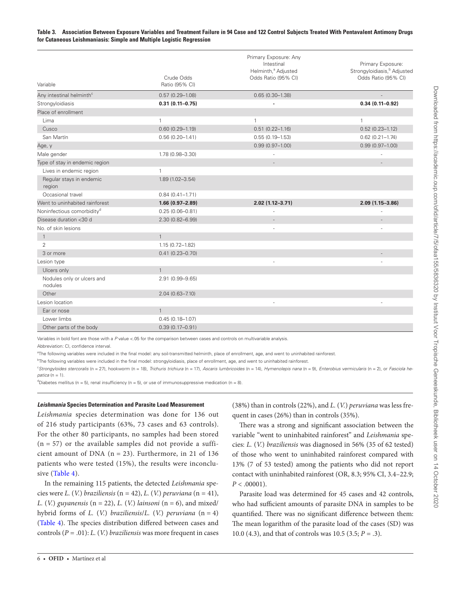# <span id="page-5-0"></span>**Table 3. Association Between Exposure Variables and Treatment Failure in 94 Case and 122 Control Subjects Treated With Pentavalent Antimony Drugs for Cutaneous Leishmaniasis: Simple and Multiple Logistic Regression**

| Variable                               | Crude Odds<br>Ratio (95% CI) | Primary Exposure: Any<br>Intestinal<br>Helminth, <sup>ª</sup> Adjusted<br>Odds Ratio (95% CI) | Primary Exposure:<br>Strongyloidiasis, <sup>b</sup> Adjusted<br>Odds Ratio (95% CI) |
|----------------------------------------|------------------------------|-----------------------------------------------------------------------------------------------|-------------------------------------------------------------------------------------|
| Any intestinal helminth <sup>c</sup>   | $0.57(0.29 - 1.08)$          | $0.65(0.30 - 1.38)$                                                                           |                                                                                     |
| Strongyloidiasis                       | $0.31(0.11 - 0.75)$          |                                                                                               | $0.34(0.11 - 0.92)$                                                                 |
| Place of enrollment                    |                              |                                                                                               |                                                                                     |
| Lima                                   | $\mathbf{1}$                 | $\mathbf{1}$                                                                                  | $\mathbf{1}$                                                                        |
| Cusco                                  | $0.60(0.29 - 1.19)$          | $0.51(0.22 - 1.16)$                                                                           | $0.52(0.23 - 1.12)$                                                                 |
| San Martín                             | $0.56(0.20 - 1.41)$          | $0.55(0.19 - 1.53)$                                                                           | $0.62(0.21 - 1.74)$                                                                 |
| Age, y                                 |                              | $0.99(0.97 - 1.00)$                                                                           | $0.99(0.97 - 1.00)$                                                                 |
| Male gender                            | 1.78 (0.98-3.30)             |                                                                                               |                                                                                     |
| Type of stay in endemic region         |                              |                                                                                               |                                                                                     |
| Lives in endemic region                | $\mathbf{1}$                 |                                                                                               |                                                                                     |
| Regular stays in endemic<br>region     | $1.89(1.02 - 3.54)$          |                                                                                               |                                                                                     |
| Occasional travel                      | $0.84(0.41 - 1.71)$          |                                                                                               |                                                                                     |
| Went to uninhabited rainforest         | $1.66(0.97 - 2.89)$          | $2.02(1.12 - 3.71)$                                                                           | $2.09(1.15 - 3.86)$                                                                 |
| Noninfectious comorbidity <sup>d</sup> | $0.25(0.06 - 0.81)$          |                                                                                               |                                                                                     |
| Disease duration <30 d                 | 2.30 (0.82-6.99)             |                                                                                               |                                                                                     |
| No. of skin lesions                    |                              |                                                                                               |                                                                                     |
| $\mathbf{1}$                           | $\mathbf{1}$                 |                                                                                               |                                                                                     |
| $\overline{2}$                         | $1.15(0.72 - 1.82)$          |                                                                                               |                                                                                     |
| 3 or more                              | $0.41(0.23 - 0.70)$          |                                                                                               |                                                                                     |
| Lesion type                            |                              |                                                                                               |                                                                                     |
| Ulcers only                            | $\mathbf{1}$                 |                                                                                               |                                                                                     |
| Nodules only or ulcers and<br>nodules  | 2.91 (0.99-9.65)             |                                                                                               |                                                                                     |
| Other                                  | $2.04(0.63 - 7.10)$          |                                                                                               |                                                                                     |
| Lesion location                        |                              |                                                                                               |                                                                                     |
| Ear or nose                            | $\mathbf{1}$                 |                                                                                               |                                                                                     |
| Lower limbs                            | $0.45(0.18 - 1.07)$          |                                                                                               |                                                                                     |
| Other parts of the body                | $0.39(0.17 - 0.91)$          |                                                                                               |                                                                                     |

Variables in bold font are those with a *P* value <.05 for the comparison between cases and controls on multivariable analysis.

Abbreviation: CI, confidence interval.

<sup>a</sup>The following variables were included in the final model: any soil-transmitted helminth, place of enrollment, age, and went to uninhabited rainforest.

<sup>b</sup>The following variables were included in the final model: strongyloidiasis, place of enrollment, age, and went to uninhabited rainforest.

"Strongyloides stercoralis (n = 27), hookworm (n = 18), Trichuris trichiura (n = 17), Ascaris lumbricoides (n = 14), Hymenolepis nana (n = 9), Enterobius vermicularis (n = 2), or Fasciola he*patica* (n = 1).

 $d$ Diabetes mellitus (n = 5), renal insufficiency (n = 5), or use of immunosuppressive medication (n = 8).

## *Leishmania* **Species Determination and Parasite Load Measurement**

*Leishmania* species determination was done for 136 out of 216 study participants (63%, 73 cases and 63 controls). For the other 80 participants, no samples had been stored  $(n = 57)$  or the available samples did not provide a sufficient amount of DNA  $(n = 23)$ . Furthermore, in 21 of 136 patients who were tested (15%), the results were inconclusive [\(Table 4\)](#page-6-0).

In the remaining 115 patients, the detected *Leishmania* species were *L.* (*V.*) *braziliensis* (n = 42), *L.* (*V.*) *peruviana* (n = 41), *L.* (*V.*) *guyanensis* (n = 22), *L.* (*V.*) *lainsoni* (n = 6), and mixed/ hybrid forms of *L.* (*V.*) *braziliensis*/*L.* (*V.*) *peruviana* (n = 4) [\(Table 4](#page-6-0)). The species distribution differed between cases and controls (*P* = .01): *L.* (*V.*) *braziliensis* was more frequent in cases

(38%) than in controls (22%), and *L.* (*V.*) *peruviana* was less frequent in cases (26%) than in controls (35%).

There was a strong and significant association between the variable "went to uninhabited rainforest" and *Leishmania* species: *L.* (*V.*) *braziliensis* was diagnosed in 56% (35 of 62 tested) of those who went to uninhabited rainforest compared with 13% (7 of 53 tested) among the patients who did not report contact with uninhabited rainforest (OR, 8.3; 95% CI, 3.4–22.9;  $P < .00001$ ).

Parasite load was determined for 45 cases and 42 controls, who had sufficient amounts of parasite DNA in samples to be quantified. There was no significant difference between them: The mean logarithm of the parasite load of the cases (SD) was 10.0 (4.3), and that of controls was 10.5 (3.5; *P* = .3).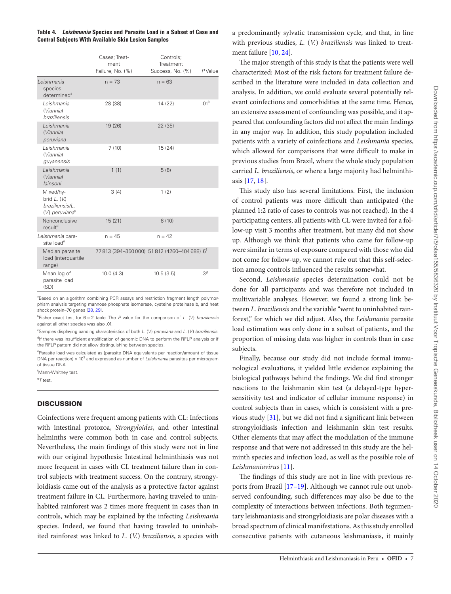<span id="page-6-0"></span>**Table 4.** *Leishmania* **Species and Parasite Load in a Subset of Case and Control Subjects With Available Skin Lesion Samples**

|                                                                              | Cases; Treat-<br>ment<br>Failure, No. (%) | Controls;<br>Treatment<br>Success, No. (%) | PValue           |
|------------------------------------------------------------------------------|-------------------------------------------|--------------------------------------------|------------------|
| Leishmania<br>species<br>determined <sup>a</sup>                             | $n = 73$                                  | $n = 63$                                   |                  |
| Leishmania<br>(Viannia)<br><b>braziliensis</b>                               | 28 (38)                                   | 14 (22)                                    | .01 <sup>b</sup> |
| Leishmania<br>(Viannia)<br>peruviana                                         | 19 (26)                                   | 22(35)                                     |                  |
| Leishmania<br>(Viannia)<br>guyanensis                                        | 7(10)                                     | 15 (24)                                    |                  |
| Leishmania<br>(Viannia)<br>lainsoni                                          | 1(1)                                      | 5(8)                                       |                  |
| Mixed/hy-<br>brid $L. (V)$<br>braziliensis/L.<br>(V.) peruviana <sup>c</sup> | 3(4)                                      | 1(2)                                       |                  |
| Nonconclusive<br>result <sup>d</sup>                                         | 15(21)                                    | 6(10)                                      |                  |
| Leishmania para-<br>site load <sup>e</sup>                                   | $n = 45$                                  | $n = 42$                                   |                  |
| Median parasite<br>load (interquartile<br>range)                             |                                           | 77813 (394-350000) 51812 (4260-404688).6   |                  |
| Mean log of<br>parasite load<br>(SD)                                         | 10.0(4.3)                                 | 10.5(3.5)                                  | .3 <sup>g</sup>  |

<sup>a</sup>Based on an algorithm combining PCR assays and restriction fragment length polymorphism analysis targeting mannose phosphate isomerase, cysteine proteinase b, and heat shock protein–70 genes [[28,](#page-7-27) [29\]](#page-7-28).

b Fisher exact test for 6 × 2 table. The *P* value for the comparison of *L.* (*V.*) *braziliensis* against all other species was also .01.

c Samples displaying banding characteristics of both *L.* (*V.*) *peruviana* and *L.* (*V.*) *braziliensis*. <sup>d</sup>If there was insufficient amplification of genomic DNA to perform the RFLP analysis or if the RFLP pattern did not allow distinguishing between species.

<sup>e</sup>Parasite load was calculated as [parasite DNA equivalents per reaction/amount of tissue DNA per reaction] x 10<sup>3</sup> and expressed as number of *Leishmania* parasites per microgram of tissue DNA.

f Mann-Whitney test.

g *T* test.

# **DISCUSSION**

Coinfections were frequent among patients with CL: Infections with intestinal protozoa, *Strongyloides*, and other intestinal helminths were common both in case and control subjects. Nevertheless, the main findings of this study were not in line with our original hypothesis: Intestinal helminthiasis was not more frequent in cases with CL treatment failure than in control subjects with treatment success. On the contrary, strongyloidiasis came out of the analysis as a protective factor against treatment failure in CL. Furthermore, having traveled to uninhabited rainforest was 2 times more frequent in cases than in controls, which may be explained by the infecting *Leishmania* species. Indeed, we found that having traveled to uninhabited rainforest was linked to *L.* (*V.*) *braziliensis*, a species with

a predominantly sylvatic transmission cycle, and that, in line with previous studies, *L.* (*V.*) *braziliensis* was linked to treatment failure [[10,](#page-7-9) [24](#page-7-23)].

The major strength of this study is that the patients were well characterized: Most of the risk factors for treatment failure described in the literature were included in data collection and analysis. In addition, we could evaluate several potentially relevant coinfections and comorbidities at the same time. Hence, an extensive assessment of confounding was possible, and it appeared that confounding factors did not affect the main findings in any major way. In addition, this study population included patients with a variety of coinfections and *Leishmania* species, which allowed for comparisons that were difficult to make in previous studies from Brazil, where the whole study population carried *L. braziliensis*, or where a large majority had helminthiasis [\[17](#page-7-16), [18\]](#page-7-17).

This study also has several limitations. First, the inclusion of control patients was more difficult than anticipated (the planned 1:2 ratio of cases to controls was not reached). In the 4 participating centers, all patients with CL were invited for a follow-up visit 3 months after treatment, but many did not show up. Although we think that patients who came for follow-up were similar in terms of exposure compared with those who did not come for follow-up, we cannot rule out that this self-selection among controls influenced the results somewhat.

Second, *Leishmania* species determination could not be done for all participants and was therefore not included in multivariable analyses. However, we found a strong link between *L. braziliensis* and the variable "went to uninhabited rainforest," for which we did adjust. Also, the *Leishmania* parasite load estimation was only done in a subset of patients, and the proportion of missing data was higher in controls than in case subjects.

Finally, because our study did not include formal immunological evaluations, it yielded little evidence explaining the biological pathways behind the findings. We did find stronger reactions to the leishmanin skin test (a delayed-type hypersensitivity test and indicator of cellular immune response) in control subjects than in cases, which is consistent with a previous study [[31](#page-8-0)], but we did not find a significant link between strongyloidiasis infection and leishmanin skin test results. Other elements that may affect the modulation of the immune response and that were not addressed in this study are the helminth species and infection load, as well as the possible role of *Leishmaniavirus* [\[11](#page-7-10)].

The findings of this study are not in line with previous reports from Brazil [17–19]. Although we cannot rule out unobserved confounding, such differences may also be due to the complexity of interactions between infections. Both tegumentary leishmaniasis and strongyloidiasis are polar diseases with a broad spectrum of clinical manifestations. As this study enrolled consecutive patients with cutaneous leishmaniasis, it mainly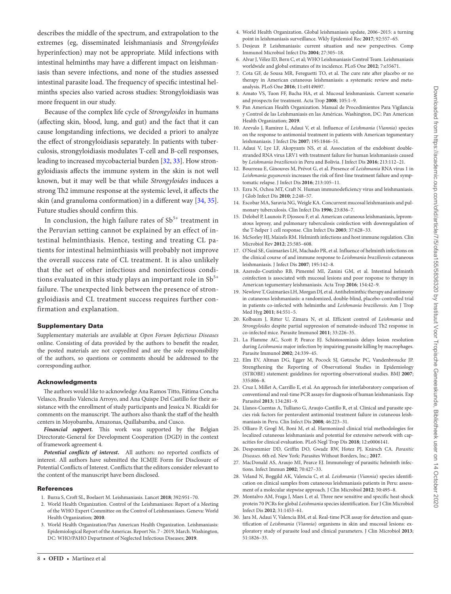describes the middle of the spectrum, and extrapolation to the extremes (eg, disseminated leishmaniasis and *Strongyloides* hyperinfection) may not be appropriate. Mild infections with intestinal helminths may have a different impact on leishmaniasis than severe infections, and none of the studies assessed intestinal parasite load. The frequency of specific intestinal helminths species also varied across studies: Strongyloidiasis was more frequent in our study.

Because of the complex life cycle of *Strongyloides* in humans (affecting skin, blood, lung, and gut) and the fact that it can cause longstanding infections, we decided a priori to analyze the effect of strongyloidiasis separately. In patients with tuberculosis, strongyloidiasis modulates T-cell and B-cell responses, leading to increased mycobacterial burden [[32,](#page-8-1) [33](#page-8-2)]. How strongyloidiasis affects the immune system in the skin is not well known, but it may well be that while *Strongyloides* induces a strong Th2 immune response at the systemic level, it affects the skin (and granuloma conformation) in a different way [[34,](#page-8-3) [35\]](#page-8-4). Future studies should confirm this.

In conclusion, the high failure rates of  $Sb^{5+}$  treatment in the Peruvian setting cannot be explained by an effect of intestinal helminthiasis. Hence, testing and treating CL patients for intestinal helminthiasis will probably not improve the overall success rate of CL treatment. It is also unlikely that the set of other infectious and noninfectious conditions evaluated in this study plays an important role in  $Sb^{5+}$ failure. The unexpected link between the presence of strongyloidiasis and CL treatment success requires further confirmation and explanation.

#### Supplementary Data

Supplementary materials are available at *Open Forum Infectious Diseases* online. Consisting of data provided by the authors to benefit the reader, the posted materials are not copyedited and are the sole responsibility of the authors, so questions or comments should be addressed to the corresponding author.

#### Acknowledgments

The authors would like to acknowledge Ana Ramos Titto, Fátima Concha Velasco, Braulio Valencia Arroyo, and Ana Quispe Del Castillo for their assistance with the enrollment of study participants and Jessica N. Ricaldi for comments on the manuscript. The authors also thank the staff of the health centers in Moyobamba, Amazonas, Quillabamba, and Cusco.

*Financial support.* This work was supported by the Belgian Directorate-General for Development Cooperation (DGD) in the context of framework agreement 4.

*Potential conflicts of interest***.** All authors: no reported conflicts of interest. All authors have submitted the ICMJE Form for Disclosure of Potential Conflicts of Interest. Conflicts that the editors consider relevant to the content of the manuscript have been disclosed.

#### **References**

- <span id="page-7-0"></span>1. Burza S, Croft SL, Boelaert M. Leishmaniasis. Lancet **2018**; 392:951–70.
- <span id="page-7-1"></span>2. World Health Organization. Control of the Leishmaniases: Report of a Meeting of the WHO Expert Committee on the Control of Leishmaniases. Geneva: World Health Organization; **2010**.
- <span id="page-7-2"></span>3. World Health Organization/Pan American Health Organization. Leishmaniasis: Epidemiological Report of the Americas. Report No. 7 - 2019, March. Washington, DC: WHO/PAHO Department of Neglected Infectious Diseases; **2019**.
- <span id="page-7-3"></span>4. World Health Organization. Global leishmaniasis update, 2006–2015: a turning point in leishmaniasis surveillance. Wkly Epidemiol Rec **2017**; 92:557–65.
- <span id="page-7-4"></span>5. Desjeux P. Leishmaniasis: current situation and new perspectives. Comp Immunol Microbiol Infect Dis **2004**; 27:305–18.
- <span id="page-7-5"></span>6. Alvar J, Vélez ID, Bern C, et al; WHO Leishmaniasis Control Team. Leishmaniasis worldwide and global estimates of its incidence. PLoS One **2012**; 7:e35671.
- <span id="page-7-6"></span>7. Cota GF, de Sousa MR, Fereguetti TO, et al. The cure rate after placebo or no therapy in American cutaneous leishmaniasis: a systematic review and metaanalysis. PLoS One **2016**; 11:e0149697.
- <span id="page-7-7"></span>8. Amato VS, Tuon FF, Bacha HA, et al. Mucosal leishmaniasis. Current scenario and prospects for treatment. Acta Trop **2008**; 105:1–9.
- <span id="page-7-8"></span>9. Pan American Health Organization. Manual de Procedimientos Para Vigilancia y Control de las Leishmaniasis en las Américas. Washington, DC: Pan American Health Organization; **2019**.
- <span id="page-7-9"></span>10. Arevalo J, Ramirez L, Adaui V, et al. Influence of *Leishmania* (*Viannia*) species on the response to antimonial treatment in patients with American tegumentary leishmaniasis. J Infect Dis **2007**; 195:1846–51.
- <span id="page-7-10"></span>11. Adaui V, Lye LF, Akopyants NS, et al. Association of the endobiont doublestranded RNA virus LRV1 with treatment failure for human leishmaniasis caused by *Leishmania braziliensis* in Peru and Bolivia. J Infect Dis **2016**; 213:112–21.
- <span id="page-7-11"></span>12. Bourreau E, Ginouves M, Prévot G, et al. Presence of *Leishmania* RNA virus 1 in *Leishmania guyanensis* increases the risk of first-line treatment failure and symptomatic relapse. J Infect Dis **2016**; 213:105–11.
- <span id="page-7-12"></span>13. Ezra N, Ochoa MT, Craft N. Human immunodeficiency virus and leishmaniasis. J Glob Infect Dis **2010**; 2:248–57.
- <span id="page-7-13"></span>14. Escobar MA, Saravia NG, Weigle KA. Concurrent mucosal leishmaniasis and pulmonary tuberculosis. Clin Infect Dis **1996**; 23:836–7.
- <span id="page-7-14"></span>15. Delobel P, Launois P, Djossou F, et al. American cutaneous leishmaniasis, lepromatous leprosy, and pulmonary tuberculosis coinfection with downregulation of the T-helper 1 cell response. Clin Infect Dis **2003**; 37:628–33.
- <span id="page-7-15"></span>16. McSorley HJ, Maizels RM. Helminth infections and host immune regulation. Clin Microbiol Rev **2012**; 25:585–608.
- <span id="page-7-16"></span>17. O'Neal SE, Guimarães LH, Machado PR, et al. Influence of helminth infections on the clinical course of and immune response to *Leishmania braziliensis* cutaneous leishmaniasis. J Infect Dis **2007**; 195:142–8.
- <span id="page-7-17"></span>18. Azeredo-Coutinho RB, Pimentel MI, Zanini GM, et al. Intestinal helminth coinfection is associated with mucosal lesions and poor response to therapy in American tegumentary leishmaniasis. Acta Trop **2016**; 154:42–9.
- <span id="page-7-18"></span>19. Newlove T, Guimarães LH, Morgan DJ, et al. Antihelminthic therapy and antimony in cutaneous leishmaniasis: a randomized, double-blind, placebo-controlled trial in patients co-infected with helminths and *Leishmania braziliensis*. Am J Trop Med Hyg **2011**; 84:551–5.
- <span id="page-7-19"></span>20. Kolbaum J, Ritter U, Zimara N, et al. Efficient control of *Leishmania* and *Strongyloides* despite partial suppression of nematode-induced Th2 response in co-infected mice. Parasite Immunol **2011**; 33:226–35.
- <span id="page-7-20"></span>21. La Flamme AC, Scott P, Pearce EJ. Schistosomiasis delays lesion resolution during *Leishmania* major infection by impairing parasite killing by macrophages. Parasite Immunol **2002**; 24:339–45.
- <span id="page-7-21"></span>22. Elm EV, Altman DG, Egger M, Pocock SJ, Gøtzsche PC, Vandenbroucke JP. Strengthening the Reporting of Observational Studies in Epidemiology (STROBE) statement: guidelines for reporting observational studies. BMJ **2007**; 335:806–8.
- <span id="page-7-22"></span>23. Cruz I, Millet A, Carrillo E, et al. An approach for interlaboratory comparison of conventional and real-time PCR assays for diagnosis of human leishmaniasis. Exp Parasitol **2013**; 134:281–9.
- <span id="page-7-23"></span>24. Llanos-Cuentas A, Tulliano G, Araujo-Castillo R, et al. Clinical and parasite species risk factors for pentavalent antimonial treatment failure in cutaneous leishmaniasis in Peru. Clin Infect Dis **2008**; 46:223–31.
- <span id="page-7-24"></span>25. Olliaro P, Grogl M, Boni M, et al. Harmonized clinical trial methodologies for localized cutaneous leishmaniasis and potential for extensive network with capacities for clinical evaluation. PLoS Negl Trop Dis **2018**; 12:e0006141.
- <span id="page-7-25"></span>26. Despommier DD, Griffin DO, Gwadz RW, Hotez PJ, Knirsch CA. *Parasitic Diseases.* 6th ed. New York: Parasites Without Borders, Inc.; **2017**.
- <span id="page-7-26"></span>27. MacDonald AS, Araujo MI, Pearce EJ. Immunology of parasitic helminth infections. Infect Immun **2002**; 70:427–33.
- <span id="page-7-27"></span>28. Veland N, Boggild AK, Valencia C, et al. *Leishmania* (*Viannia*) species identification on clinical samples from cutaneous leishmaniasis patients in Peru: assessment of a molecular stepwise approach. J Clin Microbiol **2012**; 50:495–8.
- <span id="page-7-28"></span>29. Montalvo AM, Fraga J, Maes I, et al. Three new sensitive and specific heat-shock protein 70 PCRs for global *Leishmania* species identification. Eur J Clin Microbiol Infect Dis **2012**; 31:1453–61.
- <span id="page-7-29"></span>30. Jara M, Adaui V, Valencia BM, et al. Real-time PCR assay for detection and quantification of *Leishmania* (*Viannia*) organisms in skin and mucosal lesions: exploratory study of parasite load and clinical parameters. J Clin Microbiol **2013**; 51:1826–33.